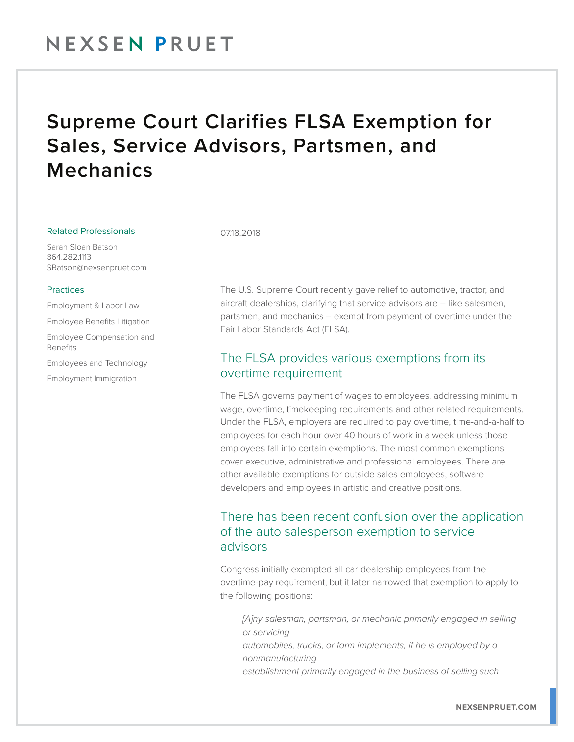## NEXSENPRUET

## Supreme Court Clarifies FLSA Exemption for Sales, Service Advisors, Partsmen, and Mechanics

#### Related Professionals

Sarah Sloan Batson 864.282.1113 SBatson@nexsenpruet.com

#### **Practices**

Employment & Labor Law

Employee Benefits Litigation

Employee Compensation and Benefits

Employees and Technology

Employment Immigration

### 07.18.2018

The U.S. Supreme Court recently gave relief to automotive, tractor, and aircraft dealerships, clarifying that service advisors are – like salesmen, partsmen, and mechanics – exempt from payment of overtime under the Fair Labor Standards Act (FLSA).

### The FLSA provides various exemptions from its overtime requirement

The FLSA governs payment of wages to employees, addressing minimum wage, overtime, timekeeping requirements and other related requirements. Under the FLSA, employers are required to pay overtime, time-and-a-half to employees for each hour over 40 hours of work in a week unless those employees fall into certain exemptions. The most common exemptions cover executive, administrative and professional employees. There are other available exemptions for outside sales employees, software developers and employees in artistic and creative positions.

### There has been recent confusion over the application of the auto salesperson exemption to service advisors

Congress initially exempted all car dealership employees from the overtime-pay requirement, but it later narrowed that exemption to apply to the following positions:

*[A]ny salesman, partsman, or mechanic primarily engaged in selling or servicing automobiles, trucks, or farm implements, if he is employed by a nonmanufacturing establishment primarily engaged in the business of selling such*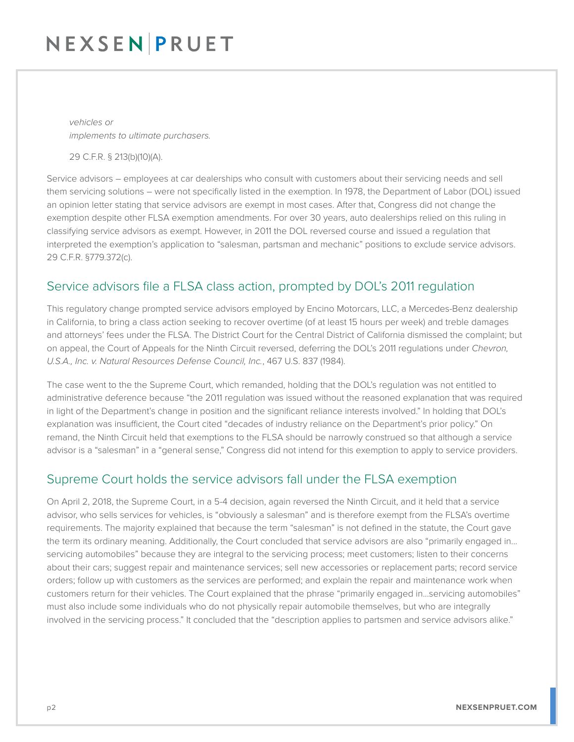# NEXSENPRUET

*vehicles or implements to ultimate purchasers.*

29 C.F.R. § 213(b)(10)(A).

Service advisors – employees at car dealerships who consult with customers about their servicing needs and sell them servicing solutions – were not specifically listed in the exemption. In 1978, the Department of Labor (DOL) issued an opinion letter stating that service advisors are exempt in most cases. After that, Congress did not change the exemption despite other FLSA exemption amendments. For over 30 years, auto dealerships relied on this ruling in classifying service advisors as exempt. However, in 2011 the DOL reversed course and issued a regulation that interpreted the exemption's application to "salesman, partsman and mechanic" positions to exclude service advisors. 29 C.F.R. §779.372(c).

### Service advisors file a FLSA class action, prompted by DOL's 2011 regulation

This regulatory change prompted service advisors employed by Encino Motorcars, LLC, a Mercedes-Benz dealership in California, to bring a class action seeking to recover overtime (of at least 15 hours per week) and treble damages and attorneys' fees under the FLSA. The District Court for the Central District of California dismissed the complaint; but on appeal, the Court of Appeals for the Ninth Circuit reversed, deferring the DOL's 2011 regulations under *Chevron, U.S.A., Inc. v. Natural Resources Defense Council, Inc.*, 467 U.S. 837 (1984).

The case went to the the Supreme Court, which remanded, holding that the DOL's regulation was not entitled to administrative deference because "the 2011 regulation was issued without the reasoned explanation that was required in light of the Department's change in position and the significant reliance interests involved." In holding that DOL's explanation was insufficient, the Court cited "decades of industry reliance on the Department's prior policy." On remand, the Ninth Circuit held that exemptions to the FLSA should be narrowly construed so that although a service advisor is a "salesman" in a "general sense," Congress did not intend for this exemption to apply to service providers.

### Supreme Court holds the service advisors fall under the FLSA exemption

On April 2, 2018, the Supreme Court, in a 5-4 decision, again reversed the Ninth Circuit, and it held that a service advisor, who sells services for vehicles, is "obviously a salesman" and is therefore exempt from the FLSA's overtime requirements. The majority explained that because the term "salesman" is not defined in the statute, the Court gave the term its ordinary meaning. Additionally, the Court concluded that service advisors are also "primarily engaged in... servicing automobiles" because they are integral to the servicing process; meet customers; listen to their concerns about their cars; suggest repair and maintenance services; sell new accessories or replacement parts; record service orders; follow up with customers as the services are performed; and explain the repair and maintenance work when customers return for their vehicles. The Court explained that the phrase "primarily engaged in...servicing automobiles" must also include some individuals who do not physically repair automobile themselves, but who are integrally involved in the servicing process." It concluded that the "description applies to partsmen and service advisors alike."